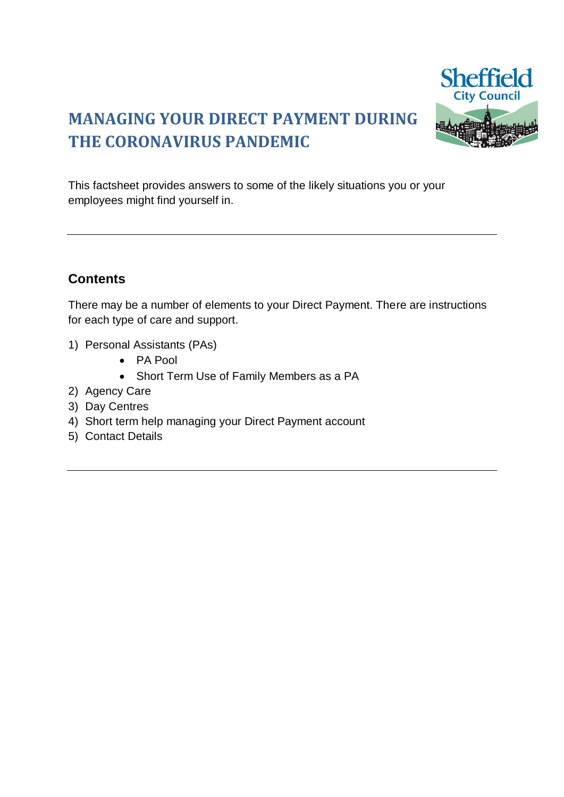# **MANAGING YOUR DIRECT PAYMENT DURING THE CORONAVIRUS PANDEMIC**



This factsheet provides answers to some of the likely situations you or your employees might find yourself in.

## **Contents**

There may be a number of elements to your Direct Payment. There are instructions for each type of care and support.

- 1) Personal Assistants (PAs)
	- PA Pool
	- Short Term Use of Family Members as a PA
- 2) Agency Care
- 3) Day Centres
- 4) Short term help managing your Direct Payment account
- 5) Contact Details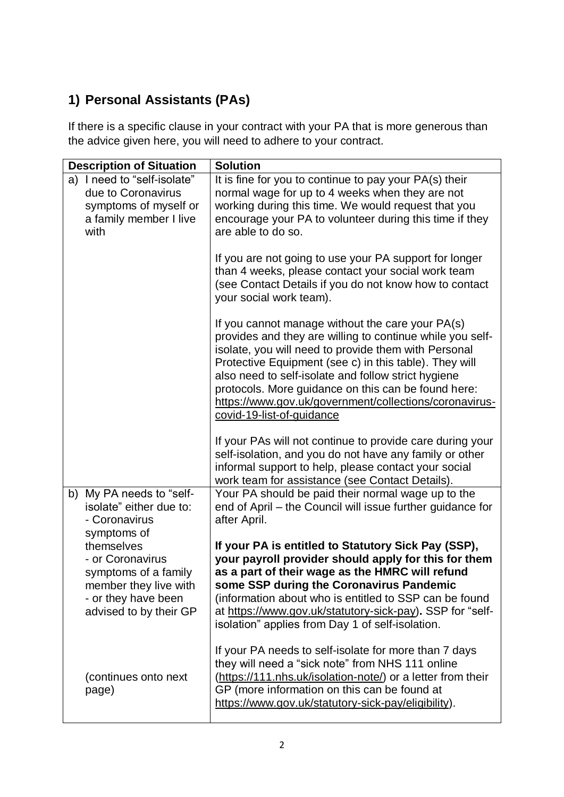## **1) Personal Assistants (PAs)**

If there is a specific clause in your contract with your PA that is more generous than the advice given here, you will need to adhere to your contract.

| <b>Description of Situation</b>                                                                                                                 | <b>Solution</b>                                                                                                                                                                                                                                                                                                                                                                                                                      |
|-------------------------------------------------------------------------------------------------------------------------------------------------|--------------------------------------------------------------------------------------------------------------------------------------------------------------------------------------------------------------------------------------------------------------------------------------------------------------------------------------------------------------------------------------------------------------------------------------|
| a) I need to "self-isolate"<br>due to Coronavirus<br>symptoms of myself or<br>a family member I live<br>with                                    | It is fine for you to continue to pay your PA(s) their<br>normal wage for up to 4 weeks when they are not<br>working during this time. We would request that you<br>encourage your PA to volunteer during this time if they<br>are able to do so.                                                                                                                                                                                    |
|                                                                                                                                                 | If you are not going to use your PA support for longer<br>than 4 weeks, please contact your social work team<br>(see Contact Details if you do not know how to contact<br>your social work team).                                                                                                                                                                                                                                    |
|                                                                                                                                                 | If you cannot manage without the care your PA(s)<br>provides and they are willing to continue while you self-<br>isolate, you will need to provide them with Personal<br>Protective Equipment (see c) in this table). They will<br>also need to self-isolate and follow strict hygiene<br>protocols. More guidance on this can be found here:<br>https://www.gov.uk/government/collections/coronavirus-<br>covid-19-list-of-guidance |
|                                                                                                                                                 | If your PAs will not continue to provide care during your<br>self-isolation, and you do not have any family or other<br>informal support to help, please contact your social<br>work team for assistance (see Contact Details).                                                                                                                                                                                                      |
| b) My PA needs to "self-<br>isolate" either due to:<br>- Coronavirus                                                                            | Your PA should be paid their normal wage up to the<br>end of April - the Council will issue further guidance for<br>after April.                                                                                                                                                                                                                                                                                                     |
| symptoms of<br>themselves<br>- or Coronavirus<br>symptoms of a family<br>member they live with<br>- or they have been<br>advised to by their GP | If your PA is entitled to Statutory Sick Pay (SSP),<br>your payroll provider should apply for this for them<br>as a part of their wage as the HMRC will refund<br>some SSP during the Coronavirus Pandemic<br>(information about who is entitled to SSP can be found<br>at https://www.gov.uk/statutory-sick-pay). SSP for "self-<br>isolation" applies from Day 1 of self-isolation.                                                |
| (continues onto next<br>page)                                                                                                                   | If your PA needs to self-isolate for more than 7 days<br>they will need a "sick note" from NHS 111 online<br>(https://111.nhs.uk/isolation-note/) or a letter from their<br>GP (more information on this can be found at<br>https://www.gov.uk/statutory-sick-pay/eligibility).                                                                                                                                                      |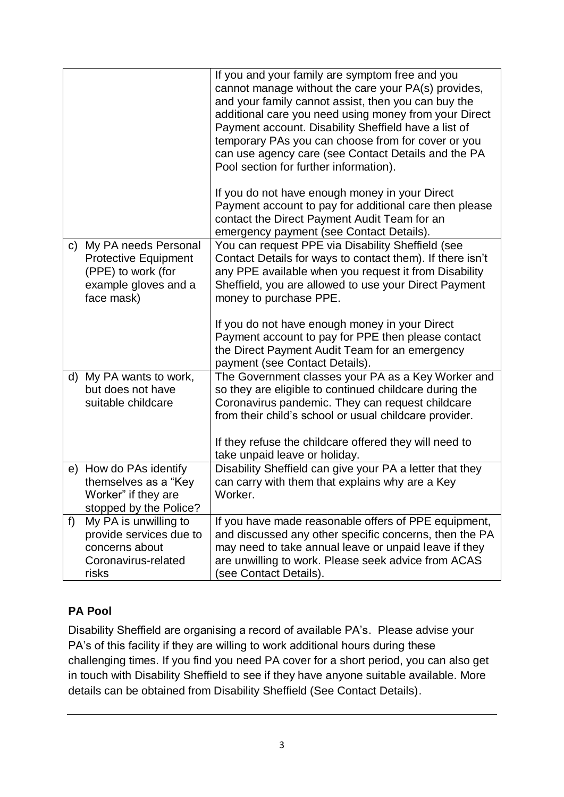|       |                                                                                                                    | If you and your family are symptom free and you<br>cannot manage without the care your PA(s) provides,<br>and your family cannot assist, then you can buy the<br>additional care you need using money from your Direct<br>Payment account. Disability Sheffield have a list of<br>temporary PAs you can choose from for cover or you<br>can use agency care (see Contact Details and the PA<br>Pool section for further information).<br>If you do not have enough money in your Direct<br>Payment account to pay for additional care then please<br>contact the Direct Payment Audit Team for an<br>emergency payment (see Contact Details). |
|-------|--------------------------------------------------------------------------------------------------------------------|-----------------------------------------------------------------------------------------------------------------------------------------------------------------------------------------------------------------------------------------------------------------------------------------------------------------------------------------------------------------------------------------------------------------------------------------------------------------------------------------------------------------------------------------------------------------------------------------------------------------------------------------------|
|       | c) My PA needs Personal<br><b>Protective Equipment</b><br>(PPE) to work (for<br>example gloves and a<br>face mask) | You can request PPE via Disability Sheffield (see<br>Contact Details for ways to contact them). If there isn't<br>any PPE available when you request it from Disability<br>Sheffield, you are allowed to use your Direct Payment<br>money to purchase PPE.<br>If you do not have enough money in your Direct<br>Payment account to pay for PPE then please contact<br>the Direct Payment Audit Team for an emergency                                                                                                                                                                                                                          |
| d)    | My PA wants to work,<br>but does not have<br>suitable childcare                                                    | payment (see Contact Details).<br>The Government classes your PA as a Key Worker and<br>so they are eligible to continued childcare during the<br>Coronavirus pandemic. They can request childcare<br>from their child's school or usual childcare provider.<br>If they refuse the childcare offered they will need to<br>take unpaid leave or holiday.                                                                                                                                                                                                                                                                                       |
|       | e) How do PAs identify<br>themselves as a "Key<br>Worker" if they are<br>stopped by the Police?                    | Disability Sheffield can give your PA a letter that they<br>can carry with them that explains why are a Key<br>Worker.                                                                                                                                                                                                                                                                                                                                                                                                                                                                                                                        |
| $f$ ) | My PA is unwilling to<br>provide services due to<br>concerns about<br>Coronavirus-related<br>risks                 | If you have made reasonable offers of PPE equipment,<br>and discussed any other specific concerns, then the PA<br>may need to take annual leave or unpaid leave if they<br>are unwilling to work. Please seek advice from ACAS<br>(see Contact Details).                                                                                                                                                                                                                                                                                                                                                                                      |

## **PA Pool**

Disability Sheffield are organising a record of available PA's. Please advise your PA's of this facility if they are willing to work additional hours during these challenging times. If you find you need PA cover for a short period, you can also get in touch with Disability Sheffield to see if they have anyone suitable available. More details can be obtained from Disability Sheffield (See Contact Details).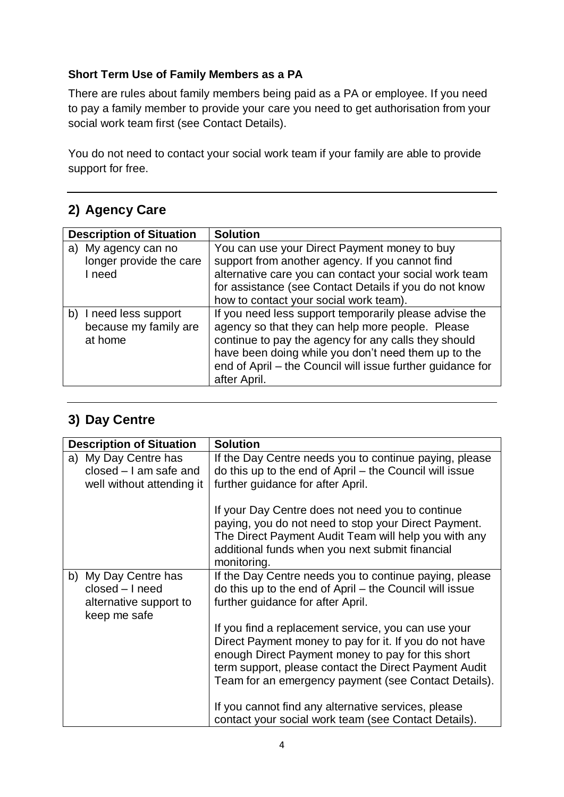## **Short Term Use of Family Members as a PA**

There are rules about family members being paid as a PA or employee. If you need to pay a family member to provide your care you need to get authorisation from your social work team first (see Contact Details).

You do not need to contact your social work team if your family are able to provide support for free.

## **2) Agency Care**

| <b>Description of Situation</b> | <b>Solution</b>                                            |
|---------------------------------|------------------------------------------------------------|
| My agency can no<br>a)          | You can use your Direct Payment money to buy               |
| longer provide the care         | support from another agency. If you cannot find            |
| I need                          | alternative care you can contact your social work team     |
|                                 | for assistance (see Contact Details if you do not know     |
|                                 | how to contact your social work team).                     |
| I need less support<br>b)       | If you need less support temporarily please advise the     |
| because my family are           | agency so that they can help more people. Please           |
| at home                         | continue to pay the agency for any calls they should       |
|                                 | have been doing while you don't need them up to the        |
|                                 | end of April - the Council will issue further guidance for |
|                                 | after April.                                               |

## **3) Day Centre**

| <b>Description of Situation</b>                                                   | <b>Solution</b>                                                                                                                                                                                                                                                                     |
|-----------------------------------------------------------------------------------|-------------------------------------------------------------------------------------------------------------------------------------------------------------------------------------------------------------------------------------------------------------------------------------|
| a) My Day Centre has<br>$closed - I$ am safe and<br>well without attending it     | If the Day Centre needs you to continue paying, please<br>do this up to the end of April – the Council will issue<br>further guidance for after April.                                                                                                                              |
|                                                                                   | If your Day Centre does not need you to continue<br>paying, you do not need to stop your Direct Payment.<br>The Direct Payment Audit Team will help you with any<br>additional funds when you next submit financial<br>monitoring.                                                  |
| b) My Day Centre has<br>closed - I need<br>alternative support to<br>keep me safe | If the Day Centre needs you to continue paying, please<br>do this up to the end of April - the Council will issue<br>further guidance for after April.                                                                                                                              |
|                                                                                   | If you find a replacement service, you can use your<br>Direct Payment money to pay for it. If you do not have<br>enough Direct Payment money to pay for this short<br>term support, please contact the Direct Payment Audit<br>Team for an emergency payment (see Contact Details). |
|                                                                                   | If you cannot find any alternative services, please<br>contact your social work team (see Contact Details).                                                                                                                                                                         |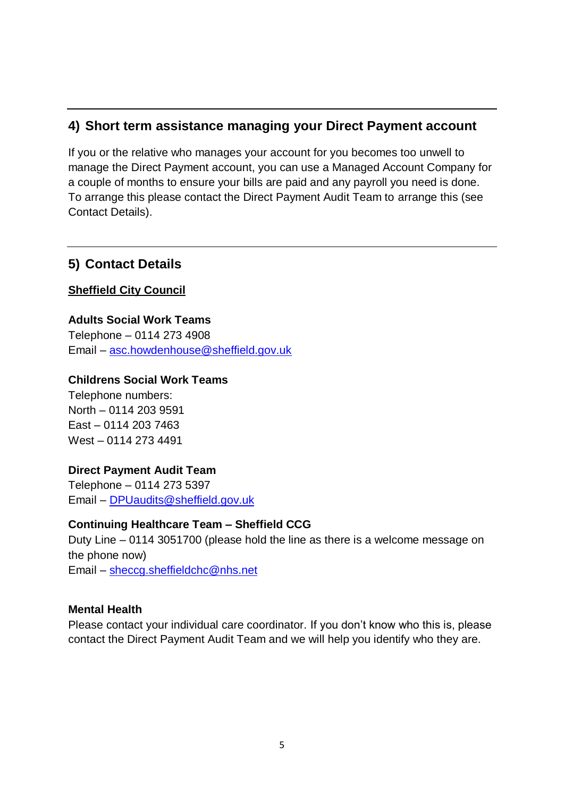## **4) Short term assistance managing your Direct Payment account**

If you or the relative who manages your account for you becomes too unwell to manage the Direct Payment account, you can use a Managed Account Company for a couple of months to ensure your bills are paid and any payroll you need is done. To arrange this please contact the Direct Payment Audit Team to arrange this (see Contact Details).

## **5) Contact Details**

**Sheffield City Council**

**Adults Social Work Teams**  Telephone – 0114 273 4908 Email – [asc.howdenhouse@sheffield.gov.uk](mailto:asc.howdenhouse@sheffield.gov.uk)

#### **Childrens Social Work Teams**

Telephone numbers: North – 0114 203 9591 East – 0114 203 7463 West – 0114 273 4491

## **Direct Payment Audit Team**

Telephone – 0114 273 5397 Email – [DPUaudits@sheffield.gov.uk](mailto:DPUaudits@sheffield.gov.uk)

## **Continuing Healthcare Team – Sheffield CCG**

Duty Line – 0114 3051700 (please hold the line as there is a welcome message on the phone now) Email – [sheccg.sheffieldchc@nhs.net](mailto:sheccg.sheffieldchc@nhs.net)

## **Mental Health**

Please contact your individual care coordinator. If you don't know who this is, please contact the Direct Payment Audit Team and we will help you identify who they are.